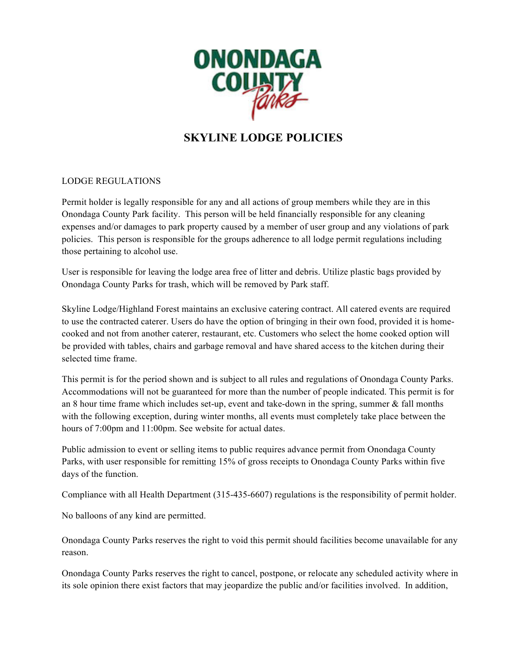

# **SKYLINE LODGE POLICIES**

#### LODGE REGULATIONS

Permit holder is legally responsible for any and all actions of group members while they are in this Onondaga County Park facility. This person will be held financially responsible for any cleaning expenses and/or damages to park property caused by a member of user group and any violations of park policies. This person is responsible for the groups adherence to all lodge permit regulations including those pertaining to alcohol use.

User is responsible for leaving the lodge area free of litter and debris. Utilize plastic bags provided by Onondaga County Parks for trash, which will be removed by Park staff.

Skyline Lodge/Highland Forest maintains an exclusive catering contract. All catered events are required to use the contracted caterer. Users do have the option of bringing in their own food, provided it is homecooked and not from another caterer, restaurant, etc. Customers who select the home cooked option will be provided with tables, chairs and garbage removal and have shared access to the kitchen during their selected time frame.

This permit is for the period shown and is subject to all rules and regulations of Onondaga County Parks. Accommodations will not be guaranteed for more than the number of people indicated. This permit is for an 8 hour time frame which includes set-up, event and take-down in the spring, summer  $\&$  fall months with the following exception, during winter months, all events must completely take place between the hours of 7:00pm and 11:00pm. See website for actual dates.

Public admission to event or selling items to public requires advance permit from Onondaga County Parks, with user responsible for remitting 15% of gross receipts to Onondaga County Parks within five days of the function.

Compliance with all Health Department (315-435-6607) regulations is the responsibility of permit holder.

No balloons of any kind are permitted.

Onondaga County Parks reserves the right to void this permit should facilities become unavailable for any reason.

Onondaga County Parks reserves the right to cancel, postpone, or relocate any scheduled activity where in its sole opinion there exist factors that may jeopardize the public and/or facilities involved. In addition,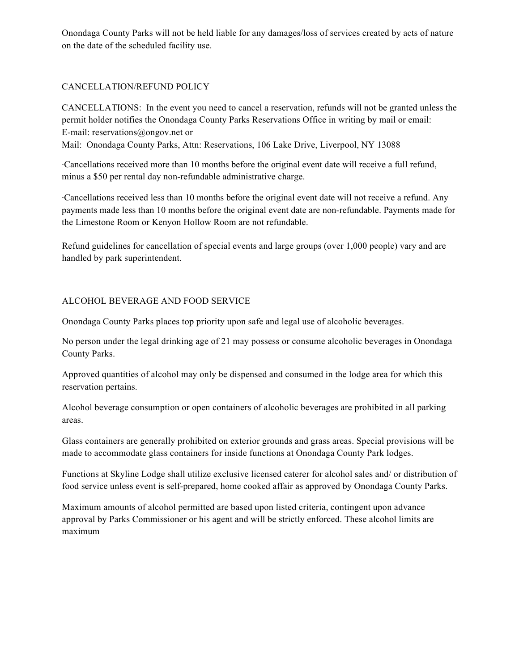Onondaga County Parks will not be held liable for any damages/loss of services created by acts of nature on the date of the scheduled facility use.

## CANCELLATION/REFUND POLICY

CANCELLATIONS: In the event you need to cancel a reservation, refunds will not be granted unless the permit holder notifies the Onondaga County Parks Reservations Office in writing by mail or email: E-mail: reservations@ongov.net or

Mail: Onondaga County Parks, Attn: Reservations, 106 Lake Drive, Liverpool, NY 13088

·Cancellations received more than 10 months before the original event date will receive a full refund, minus a \$50 per rental day non-refundable administrative charge.

·Cancellations received less than 10 months before the original event date will not receive a refund. Any payments made less than 10 months before the original event date are non-refundable. Payments made for the Limestone Room or Kenyon Hollow Room are not refundable.

Refund guidelines for cancellation of special events and large groups (over 1,000 people) vary and are handled by park superintendent.

## ALCOHOL BEVERAGE AND FOOD SERVICE

Onondaga County Parks places top priority upon safe and legal use of alcoholic beverages.

No person under the legal drinking age of 21 may possess or consume alcoholic beverages in Onondaga County Parks.

Approved quantities of alcohol may only be dispensed and consumed in the lodge area for which this reservation pertains.

Alcohol beverage consumption or open containers of alcoholic beverages are prohibited in all parking areas.

Glass containers are generally prohibited on exterior grounds and grass areas. Special provisions will be made to accommodate glass containers for inside functions at Onondaga County Park lodges.

Functions at Skyline Lodge shall utilize exclusive licensed caterer for alcohol sales and/ or distribution of food service unless event is self-prepared, home cooked affair as approved by Onondaga County Parks.

Maximum amounts of alcohol permitted are based upon listed criteria, contingent upon advance approval by Parks Commissioner or his agent and will be strictly enforced. These alcohol limits are maximum